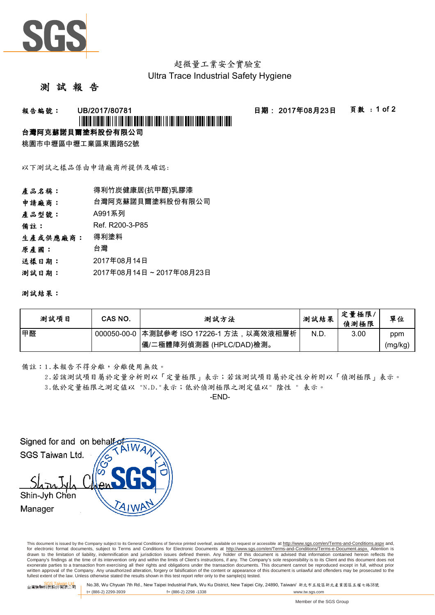

### 超微量工業安全實驗室 Ultra Trace Industrial Safety Hygiene

### 測 試 報

## 報告編號: UB/2017/80781 日期: 2017年08月23日 頁數 : 1 of 2 \*UB/2017/80781\*

### 台灣阿克蘇諾貝爾塗料股份有限公司

桃園市中壢區中壢工業區東園路52號

以下測試之樣品係由申請廠商所提供及確認:

| 產品名稱:    | 得利竹炭健康居(抗甲醛)乳膠漆         |  |  |
|----------|-------------------------|--|--|
| 申請廠商:    | 台灣阿克蘇諾貝爾塗料股份有限公司        |  |  |
| 產品型號:    | A991系列                  |  |  |
| 備註:      | Ref. R200-3-P85         |  |  |
| 生產或供應廠商: | 得利塗料                    |  |  |
| 原產國:     | 台灣                      |  |  |
| 送樣日期:    | 2017年08月14日             |  |  |
| 测試日期:    | 2017年08月14日~2017年08月23日 |  |  |
|          |                         |  |  |

### 測試結果:

| 测試項目 | CAS NO. | 測試方法                                      | 測試結果 | 定量極限<br>偵測極限 | 單位      |
|------|---------|-------------------------------------------|------|--------------|---------|
| 甲醛   |         | 000050-00-0  本測試參考 ISO 17226-1 方法,以高效液相層析 | N.D. | 3.00         | ppm     |
|      |         | 儀/二極體陣列偵測器 (HPLC/DAD)檢測。                  |      |              | (mg/kg) |

備註:1.本報告不得分離,分離使用無效。

2.若該測試項目屬於定量分析則以「定量極限」表示;若該測試項目屬於定性分析則以「偵測極限」表示。 3.低於定量極限之測定值以 "N.D."表示;低於偵測極限之測定值以" 陰性 " 表示。

-END-

Signed for and on behalf SGS Taiwan Ltd. Shin-Jyh Chen Manager

This document is issued by the Company subject to its General Conditions of Service printed overleaf, available on request or accessible at http://www.sgs.com/en/Terms-and-Conditions.aspx and, for electronic format documents, subject to Terms and Conditions for Electronic Documents at http://www.sgs.com/en/Terms-and-Conditions/Terms-e-Document.aspx. Attention is drawn to the limitation of liability, indemnification and jurisdiction issues defined therein. Any holder of this document is advised that information contained hereon reflects the<br>Company's findings at the time of its int exonerate parties to a transaction from exercising all their rights and obligations under the transaction documents. This document cannot be reproduced except in full, without prior written approval of the Company. Any unauthorized alteration, forgery or falsification of the content or appearance of this document is unlawful and offenders may be prosecuted to the<br>fullest extent of the law. Unless othe

台灣檢驗科技股份有限公司 Ind. SGS, Wu Chyuan 7th Rd., New Taipei Industrial Park, Wu Ku District, New Taipei City, 24890, Taiwan/ 新北市五股區新北產業園區五權七路38號<br>台灣檢驗科技股份有限公司 t+ (886-2) 2299-3939 f+ (886-2) 2298 -1338 www.tw.sgs.com